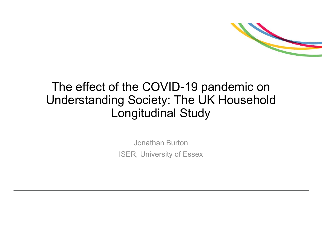

#### The effect of the COVID-19 pandemic on Understanding Society: The UK Household Longitudinal Study

Jonathan Burton ISER, University of Essex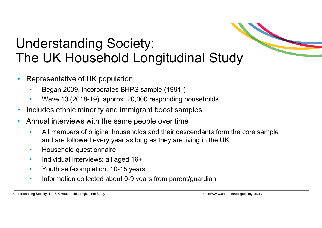## Understanding Society: The UK Household Longitudinal Study **are followed Exercise Society:**<br> **Algermentative of UK population**<br> **Algermentative of UK population**<br> **Algermentative of UK population**<br>
• Wave 10 (2018-19): approx. 20,000 responding households<br>
ncludes ethnic minority

- Representative of UK population
	- Began 2009, incorporates BHPS sample (1991-)
	- Wave 10 (2018-19): approx. 20,000 responding households
- Includes ethnic minority and immigrant boost samples
- Annual interviews with the same people over time
	- All members of original households and their descendants form the core sample
	-
	- Individual interviews: all aged 16+
	- Youth self-completion: 10-15 years
	- Information collected about 0-9 years from parent/guardian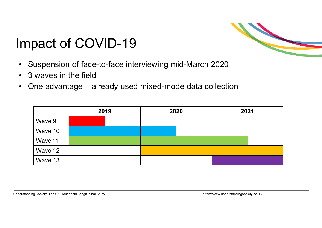# Impact of COVID-19 mpact of COVID-19<br>• Suspension of face-to-face interviewir<br>• 3 waves in the field<br>• One advantage – already used mixed

- mpact of COVID-19<br>• Suspension of face-to-face interviewing mid-March 2020<br>• 3 waves in the field<br>• One advantage already used mixed-mode data collection
- 
- 

|                    | pact of COVID-19 |                                                         |      |
|--------------------|------------------|---------------------------------------------------------|------|
| waves in the field |                  | suspension of face-to-face interviewing mid-March 2020  |      |
|                    |                  | Ine advantage – already used mixed-mode data collection |      |
|                    | 2019             | 2020                                                    | 2021 |
| Wave 9             |                  |                                                         |      |
| Wave 10            |                  |                                                         |      |
| Wave 11            |                  |                                                         |      |
| Wave 12            |                  |                                                         |      |

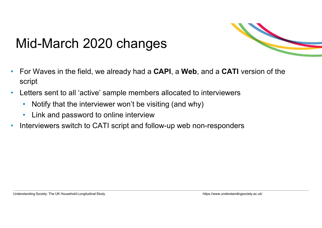#### Mid-March 2020 changes



- For Waves in the field, we already had a CAPI, a Web, and a CATI version of the script
- Letters sent to all 'active' sample members allocated to interviewers
	- Notify that the interviewer won't be visiting (and why)
	- Link and password to online interview
- Interviewers switch to CATI script and follow-up web non-responders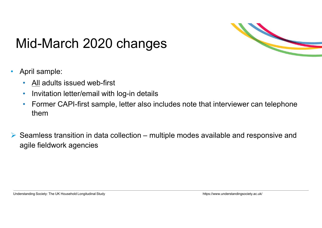

# Mid-March 2020 changes **Aid-March 2020 changes**<br>April sample:<br>• <u>All</u> adults issued web-first<br>• Invitation letter/email with log-in details<br>• Former CAPI-first sample, letter also inclu

- April sample:
	-
	- Invitation letter/email with log-in details
	- Former CAPI-first sample, letter also includes note that interviewer can telephone them
- Mid-March 2020 changes<br>
Seamles:<br>
Seamless transition in data collection multiple modes available and responsive and<br>
<br>
Seamless transition in data collection multiple modes available and responsive and<br>
agile fieldwo agile fieldwork agencies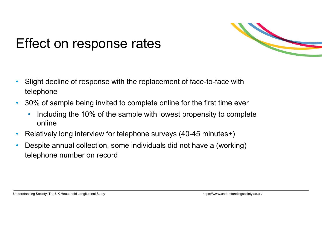

#### Effect on response rates

- Slight decline of response with the replacement of face-to-face with telephone
- 30% of sample being invited to complete online for the first time ever
	- Including the 10% of the sample with lowest propensity to complete online
- Relatively long interview for telephone surveys (40-45 minutes+)
- Despite annual collection, some individuals did not have a (working) telephone number on record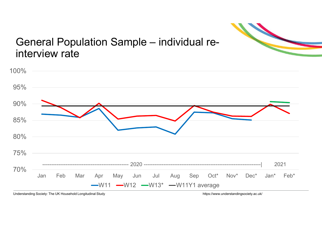

# General Population Sample – individual reinterview rate

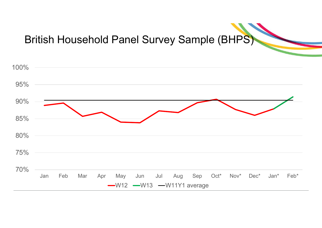#### British Household Panel Survey Sample (BHPS)

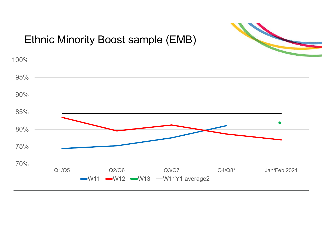

#### Ethnic Minority Boost sample (EMB)

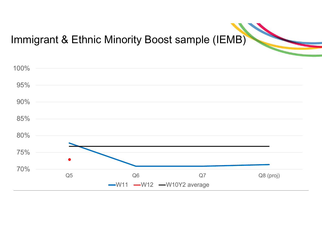#### Immigrant & Ethnic Minority Boost sample (IEMB)

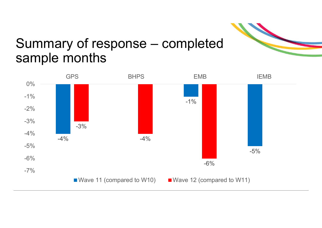

# Summary of response – completed sample months

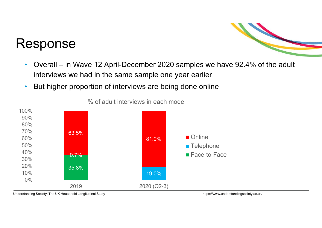#### Response



- Overall in Wave 12 April-December 2020 samples we have 92.4% of the adult<br>• Interviews we had in the same sample one year earlier<br>• But higher proportion of interviews are being done online interviews we had in the same sample one year earlier
- But higher proportion of interviews are being done online



% of adult interviews in each mode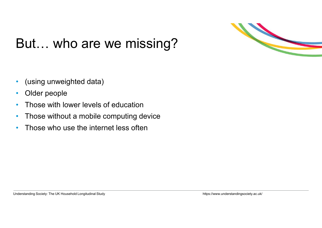

#### But… who are we missing?

- (using unweighted data)
- Older people
- Those with lower levels of education
- Those without a mobile computing device
- Those who use the internet less often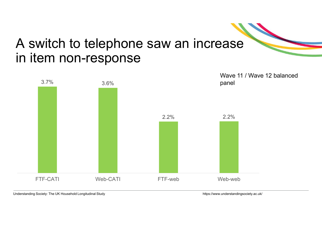#### A switch to telephone saw an increase in item non-response

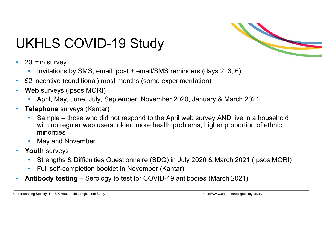

#### UKHLS COVID-19 Study

- 20 min survey
	- Invitations by SMS, email, post + email/SMS reminders (days 2, 3, 6)
- £2 incentive (conditional) most months (some experimentation)
- Web surveys (Ipsos MORI)
	- April, May, June, July, September, November 2020, January & March 2021
- Telephone surveys (Kantar)
- Sample those who did not respond to the April web survey<br>• Invitations by SMS, email, post + email/SMS reminders (days 2, 3, 6)<br>• Sample (poss MORI)<br>• April, May, June, July, September, November 2020, January & March 2 with no regular web users: older, more health problems, higher proportion of ethnic minorities • E2 incentive (conditional) most months (some experimentation)<br>
• Web surveys (Ipsos MORI)<br>
• April, May, June, July, September, November 2020, January & March 2021<br>
• **Telephone** surveys (Kantar)<br>
• Sample – those who di
	- May and November
- Youth surveys
	- Strengths & Difficulties Questionnaire (SDQ) in July 2020 & March 2021 (Ipsos MORI)
	- Full self-completion booklet in November (Kantar)
-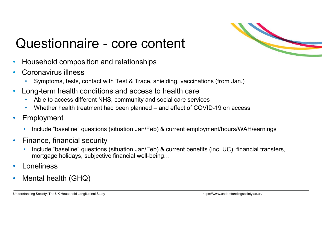

# Questionnaire - core content<br>
Household composition and relationships<br>
Correquirys illness

- Household composition and relationships
- - Coronavirus illness Symptoms, tests, contact with Test & Trace, shielding, vaccinations (from Jan.)
- Long-term health conditions and access to health care
	- Able to access different NHS, community and social care services
	-
- **Employment** 
	- Include "baseline" questions (situation Jan/Feb) & current employment/hours/WAH/earnings
- Finance, financial security
	- Include "baseline" questions (situation Jan/Feb) & current benefits (inc. UC), financial transfers, mortgage holidays, subjective financial well-being…
- **Loneliness**
- Mental health (GHQ)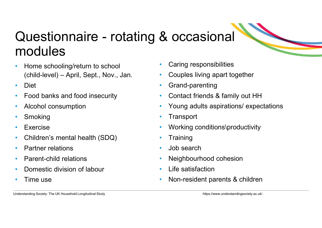## Questionnaire - rotating & occasional modules Questionnaire – rotating & occ<br>
modules<br>
• Home schooling/return to school<br>
• Caring (child-level) – April, Sept., Nov., Jan.<br>
• Diet • Food banks and food insecurity<br>
• Contact

- Home schooling/return to school
- 
- 
- Alcohol consumption
- Smoking
- Exercise
- Children's mental health (SDQ)
- Partner relations
- Parent-child relations
- Domestic division of labour
- Time use
- Caring responsibilities
- Couples living apart together
- Grand-parenting
- Contact friends & family out HH
- Young adults aspirations/ expectations
- Transport
- Working conditions\productivity
- **Training**
- 
- Job search<br>• Neighbourhood cohesion
- Life satisfaction
- Non-resident parents & children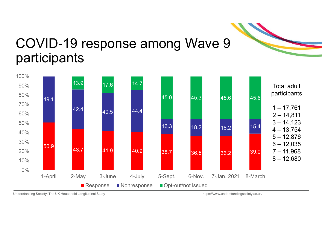

#### COVID-19 response among Wave 9 participants

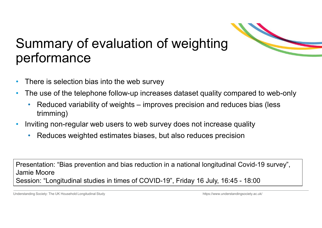

### Summary of evaluation of weighting performance which are the telephone follow-up increases dataset quality compared to web-only<br>• Reduced variability of weights – improves precision and reduces bias (less<br>• Reduced variability of weights – improves precision and reduce

- There is selection bias into the web survey
- The use of the telephone follow-up increases dataset quality compared to web-only
	- trimming)
- Inviting non-regular web users to web survey does not increase quality
	- Reduces weighted estimates biases, but also reduces precision

Presentation: "Bias prevention and bias reduction in a national longitudinal Covid-19 survey", Jamie Moore There is selection: Dias into the web strivey<br>
The use of the telephone follow-up increases dataset quality compared to web-only<br>
Reduced variability of weights – improves precision and reduces bias (less<br>
trimming)<br>
Prese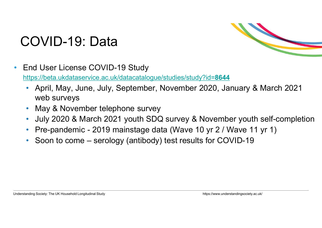#### COVID-19: Data



- End User License COVID-19 Study https://beta.ukdataservice.ac.uk/datacatalogue/studies/study?id=8644
- April, May, June, July, September, November 2020, January & March 2021 web surveys • Pre-pandemic - 2019 mainstage data (Wave 10 yr 2 / Wave 11 yr 1)<br>• Pre-pandemic - 2020, January & March 2021<br>• April, May, June, July, September, November 2020, January & March 2021<br>• May & November telephone survey<br>• Ju Find User License COVID-19 Study<br>
Find User License COVID-19 Study<br>
• April, May, June, July, September, November 2020, January & March 2021<br>
• May & November telephone survey<br>
• May & November telephone survey<br>
• July 202
	- May & November telephone survey
	- July 2020 & March 2021 youth SDQ survey & November youth self-completion
	-
	-